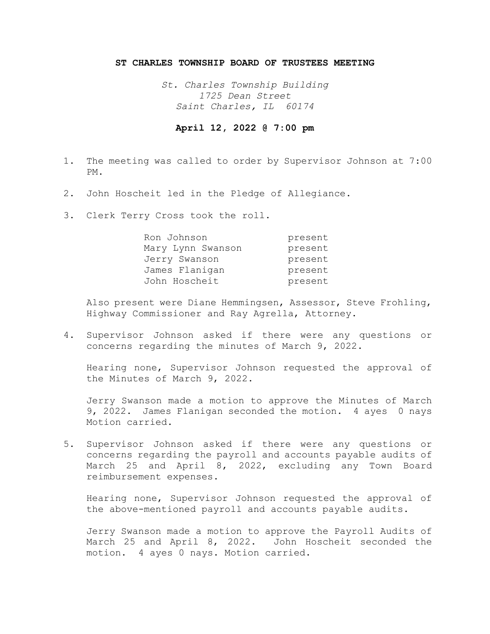## **ST CHARLES TOWNSHIP BOARD OF TRUSTEES MEETING**

*St. Charles Township Building 1725 Dean Street Saint Charles, IL 60174* 

## **April 12, 2022 @ 7:00 pm**

- 1. The meeting was called to order by Supervisor Johnson at 7:00 PM.
- 2. John Hoscheit led in the Pledge of Allegiance.
- 3. Clerk Terry Cross took the roll.

| Ron Johnson       | present |
|-------------------|---------|
| Mary Lynn Swanson | present |
| Jerry Swanson     | present |
| James Flanigan    | present |
| John Hoscheit     | present |

Also present were Diane Hemmingsen, Assessor, Steve Frohling, Highway Commissioner and Ray Agrella, Attorney.

4. Supervisor Johnson asked if there were any questions or concerns regarding the minutes of March 9, 2022.

Hearing none, Supervisor Johnson requested the approval of the Minutes of March 9, 2022.

Jerry Swanson made a motion to approve the Minutes of March 9, 2022. James Flanigan seconded the motion. 4 ayes 0 nays Motion carried.

5. Supervisor Johnson asked if there were any questions or concerns regarding the payroll and accounts payable audits of March 25 and April 8, 2022, excluding any Town Board reimbursement expenses.

Hearing none, Supervisor Johnson requested the approval of the above-mentioned payroll and accounts payable audits.

Jerry Swanson made a motion to approve the Payroll Audits of March 25 and April 8, 2022. John Hoscheit seconded the motion. 4 ayes 0 nays. Motion carried.